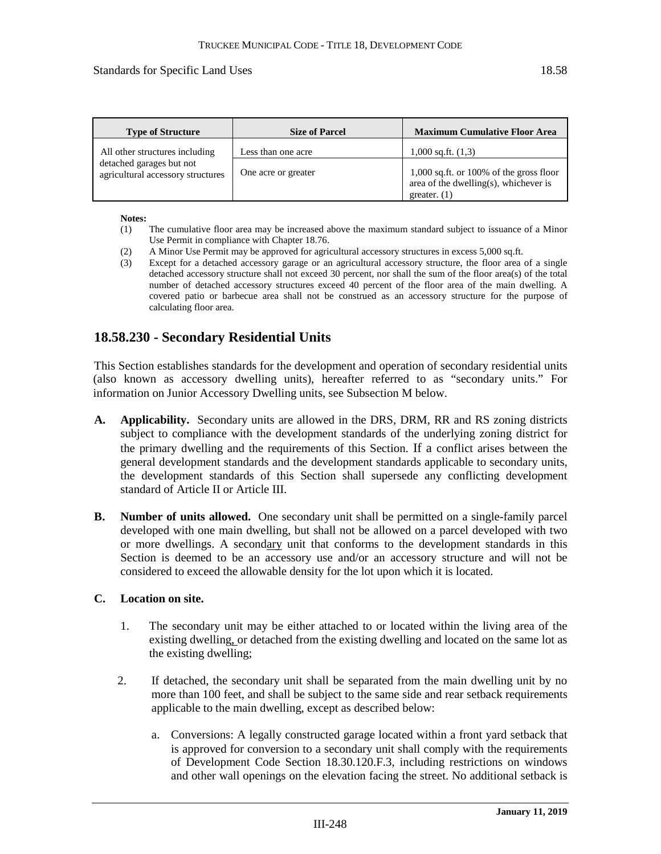### Standards for Specific Land Uses 18.58

| <b>Type of Structure</b>                                      | <b>Size of Parcel</b> | <b>Maximum Cumulative Floor Area</b>                                                                 |
|---------------------------------------------------------------|-----------------------|------------------------------------------------------------------------------------------------------|
| All other structures including                                | Less than one acre    | $1,000$ sq.ft. $(1,3)$                                                                               |
| detached garages but not<br>agricultural accessory structures | One acre or greater   | $1,000$ sq.ft. or 100% of the gross floor<br>area of the dwelling(s), whichever is<br>greater. $(1)$ |

#### **Notes:**

- (1) The cumulative floor area may be increased above the maximum standard subject to issuance of a Minor Use Permit in compliance with Chapter 18.76.
- (2) A Minor Use Permit may be approved for agricultural accessory structures in excess 5,000 sq.ft.
- (3) Except for a detached accessory garage or an agricultural accessory structure, the floor area of a single detached accessory structure shall not exceed 30 percent, nor shall the sum of the floor area(s) of the total number of detached accessory structures exceed 40 percent of the floor area of the main dwelling. A covered patio or barbecue area shall not be construed as an accessory structure for the purpose of calculating floor area.

# **18.58.230 - Secondary Residential Units**

This Section establishes standards for the development and operation of secondary residential units (also known as accessory dwelling units), hereafter referred to as "secondary units." For information on Junior Accessory Dwelling units, see Subsection M below.

- **A. Applicability.** Secondary units are allowed in the DRS, DRM, RR and RS zoning districts subject to compliance with the development standards of the underlying zoning district for the primary dwelling and the requirements of this Section. If a conflict arises between the general development standards and the development standards applicable to secondary units, the development standards of this Section shall supersede any conflicting development standard of Article II or Article III.
- **B. Number of units allowed.** One secondary unit shall be permitted on a single-family parcel developed with one main dwelling, but shall not be allowed on a parcel developed with two or more dwellings. A secondary unit that conforms to the development standards in this Section is deemed to be an accessory use and/or an accessory structure and will not be considered to exceed the allowable density for the lot upon which it is located.

### **C. Location on site.**

- 1. The secondary unit may be either attached to or located within the living area of the existing dwelling, or detached from the existing dwelling and located on the same lot as the existing dwelling;
- 2. If detached, the secondary unit shall be separated from the main dwelling unit by no more than 100 feet, and shall be subject to the same side and rear setback requirements applicable to the main dwelling, except as described below:
	- a. Conversions: A legally constructed garage located within a front yard setback that is approved for conversion to a secondary unit shall comply with the requirements of Development Code Section 18.30.120.F.3, including restrictions on windows and other wall openings on the elevation facing the street. No additional setback is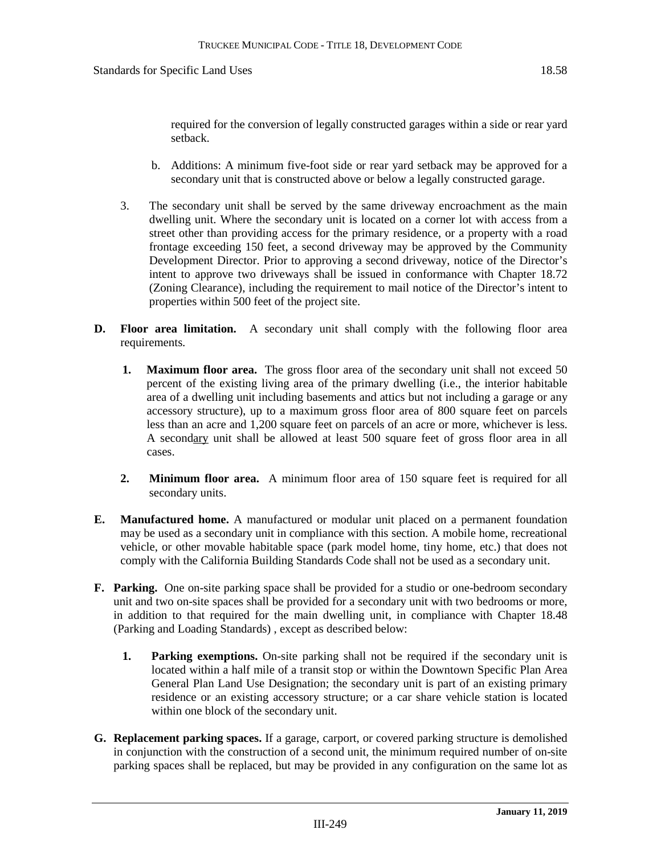required for the conversion of legally constructed garages within a side or rear yard setback.

- b. Additions: A minimum five-foot side or rear yard setback may be approved for a secondary unit that is constructed above or below a legally constructed garage.
- 3. The secondary unit shall be served by the same driveway encroachment as the main dwelling unit. Where the secondary unit is located on a corner lot with access from a street other than providing access for the primary residence, or a property with a road frontage exceeding 150 feet, a second driveway may be approved by the Community Development Director. Prior to approving a second driveway, notice of the Director's intent to approve two driveways shall be issued in conformance with Chapter 18.72 (Zoning Clearance), including the requirement to mail notice of the Director's intent to properties within 500 feet of the project site.
- **D. Floor area limitation.** A secondary unit shall comply with the following floor area requirements.
	- **1. Maximum floor area.** The gross floor area of the secondary unit shall not exceed 50 percent of the existing living area of the primary dwelling (i.e., the interior habitable area of a dwelling unit including basements and attics but not including a garage or any accessory structure), up to a maximum gross floor area of 800 square feet on parcels less than an acre and 1,200 square feet on parcels of an acre or more, whichever is less. A secondary unit shall be allowed at least 500 square feet of gross floor area in all cases.
	- **2. Minimum floor area.** A minimum floor area of 150 square feet is required for all secondary units.
- **E. Manufactured home.** A manufactured or modular unit placed on a permanent foundation may be used as a secondary unit in compliance with this section. A mobile home, recreational vehicle, or other movable habitable space (park model home, tiny home, etc.) that does not comply with the California Building Standards Code shall not be used as a secondary unit.
- **F. Parking.** One on-site parking space shall be provided for a studio or one-bedroom secondary unit and two on-site spaces shall be provided for a secondary unit with two bedrooms or more, in addition to that required for the main dwelling unit, in compliance with Chapter 18.48 (Parking and Loading Standards) , except as described below:
	- **1. Parking exemptions.** On-site parking shall not be required if the secondary unit is located within a half mile of a transit stop or within the Downtown Specific Plan Area General Plan Land Use Designation; the secondary unit is part of an existing primary residence or an existing accessory structure; or a car share vehicle station is located within one block of the secondary unit.
- **G. Replacement parking spaces.** If a garage, carport, or covered parking structure is demolished in conjunction with the construction of a second unit, the minimum required number of on-site parking spaces shall be replaced, but may be provided in any configuration on the same lot as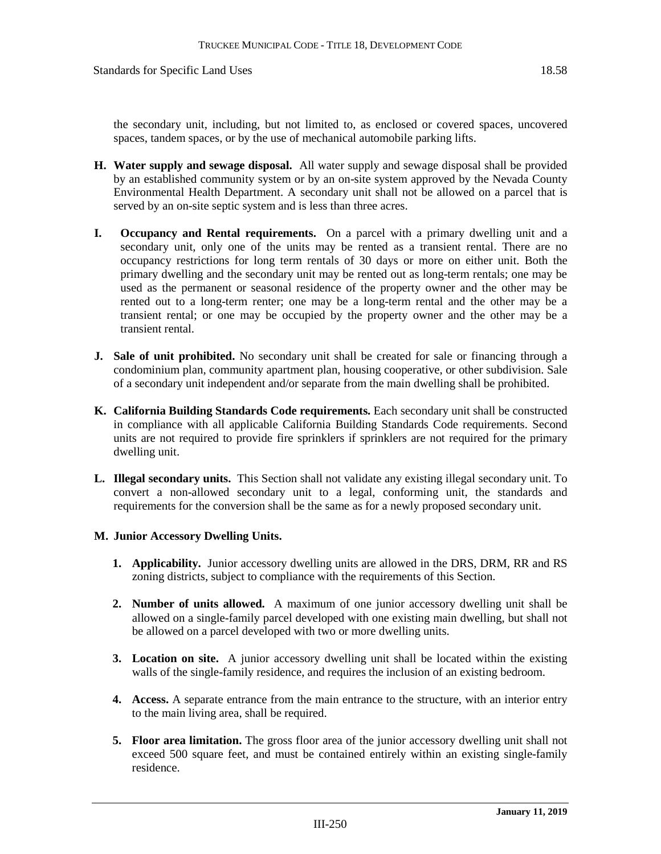the secondary unit, including, but not limited to, as enclosed or covered spaces, uncovered spaces, tandem spaces, or by the use of mechanical automobile parking lifts.

- **H. Water supply and sewage disposal.** All water supply and sewage disposal shall be provided by an established community system or by an on-site system approved by the Nevada County Environmental Health Department. A secondary unit shall not be allowed on a parcel that is served by an on-site septic system and is less than three acres.
- **I. Occupancy and Rental requirements.** On a parcel with a primary dwelling unit and a secondary unit, only one of the units may be rented as a transient rental. There are no occupancy restrictions for long term rentals of 30 days or more on either unit. Both the primary dwelling and the secondary unit may be rented out as long-term rentals; one may be used as the permanent or seasonal residence of the property owner and the other may be rented out to a long-term renter; one may be a long-term rental and the other may be a transient rental; or one may be occupied by the property owner and the other may be a transient rental.
- **J. Sale of unit prohibited.** No secondary unit shall be created for sale or financing through a condominium plan, community apartment plan, housing cooperative, or other subdivision. Sale of a secondary unit independent and/or separate from the main dwelling shall be prohibited.
- **K. California Building Standards Code requirements.** Each secondary unit shall be constructed in compliance with all applicable California Building Standards Code requirements. Second units are not required to provide fire sprinklers if sprinklers are not required for the primary dwelling unit.
- **L. Illegal secondary units.** This Section shall not validate any existing illegal secondary unit. To convert a non-allowed secondary unit to a legal, conforming unit, the standards and requirements for the conversion shall be the same as for a newly proposed secondary unit.

### **M. Junior Accessory Dwelling Units.**

- **1. Applicability.** Junior accessory dwelling units are allowed in the DRS, DRM, RR and RS zoning districts, subject to compliance with the requirements of this Section.
- **2. Number of units allowed.** A maximum of one junior accessory dwelling unit shall be allowed on a single-family parcel developed with one existing main dwelling, but shall not be allowed on a parcel developed with two or more dwelling units.
- **3. Location on site.** A junior accessory dwelling unit shall be located within the existing walls of the single-family residence, and requires the inclusion of an existing bedroom.
- **4. Access.** A separate entrance from the main entrance to the structure, with an interior entry to the main living area, shall be required.
- **5. Floor area limitation.** The gross floor area of the junior accessory dwelling unit shall not exceed 500 square feet, and must be contained entirely within an existing single-family residence.